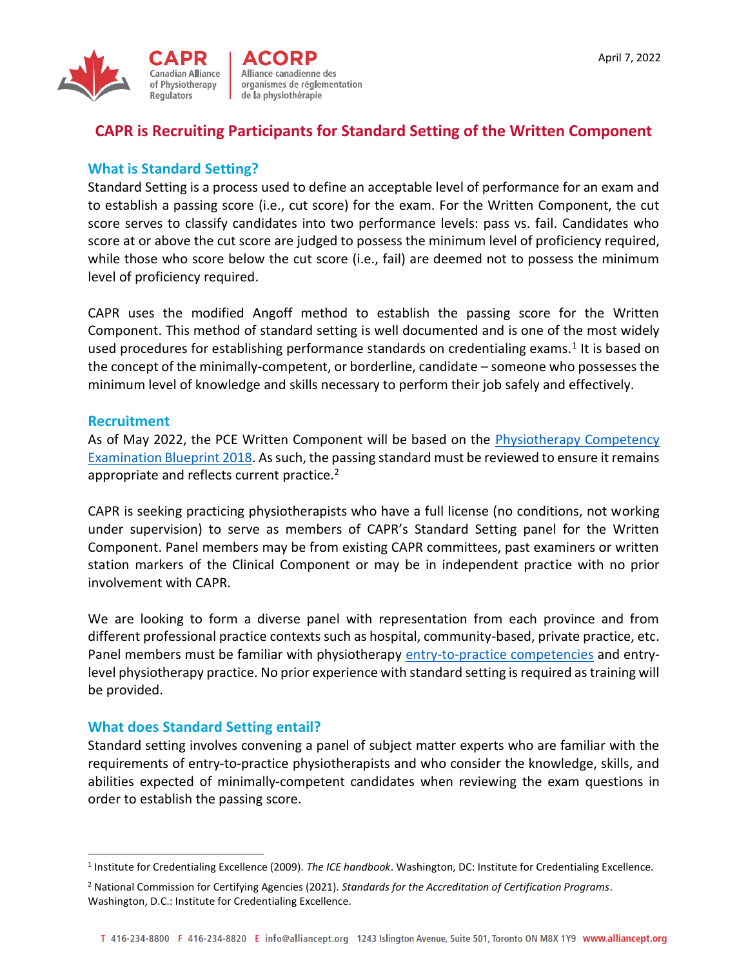

# **CAPR is Recruiting Participants for Standard Setting of the Written Component**

### **What is Standard Setting?**

Standard Setting is a process used to define an acceptable level of performance for an exam and to establish a passing score (i.e., cut score) for the exam. For the Written Component, the cut score serves to classify candidates into two performance levels: pass vs. fail. Candidates who score at or above the cut score are judged to possess the minimum level of proficiency required, while those who score below the cut score (i.e., fail) are deemed not to possess the minimum level of proficiency required.

CAPR uses the modified Angoff method to establish the passing score for the Written Component. This method of standard setting is well documented and is one of the most widely used procedures for establishing performance standards on credentialing exams.<sup>1</sup> It is based on the concept of the minimally-competent, or borderline, candidate – someone who possesses the minimum level of knowledge and skills necessary to perform their job safely and effectively.

#### **Recruitment**

As of May 2022, the PCE Written Component will be based on the [Physiotherapy Competency](https://www.alliancept.org/wp-content/uploads/2016/06/PCE-Blueprint-2018_ENG-1.pdf)  [Examination Blueprint 2018.](https://www.alliancept.org/wp-content/uploads/2016/06/PCE-Blueprint-2018_ENG-1.pdf) As such, the passing standard must be reviewed to ensure it remains appropriate and reflects current practice.<sup>2</sup>

CAPR is seeking practicing physiotherapists who have a full license (no conditions, not working under supervision) to serve as members of CAPR's Standard Setting panel for the Written Component. Panel members may be from existing CAPR committees, past examiners or written station markers of the Clinical Component or may be in independent practice with no prior involvement with CAPR.

We are looking to form a diverse panel with representation from each province and from different professional practice contexts such as hospital, community-based, private practice, etc. Panel members must be familiar with physiotherapy [entry-to-practice competencies](http://npag.ca/PDFs/Joint%20Initiatives/2017%20Competency%20Profile%20for%20PTs%202017%20EN.pdf) and entrylevel physiotherapy practice. No prior experience with standard setting is required as training will be provided.

# **What does Standard Setting entail?**

Standard setting involves convening a panel of subject matter experts who are familiar with the requirements of entry-to-practice physiotherapists and who consider the knowledge, skills, and abilities expected of minimally-competent candidates when reviewing the exam questions in order to establish the passing score.

<sup>1</sup> Institute for Credentialing Excellence (2009). *The ICE handbook*. Washington, DC: Institute for Credentialing Excellence.

<sup>2</sup> National Commission for Certifying Agencies (2021). *Standards for the Accreditation of Certification Programs*. Washington, D.C.: Institute for Credentialing Excellence.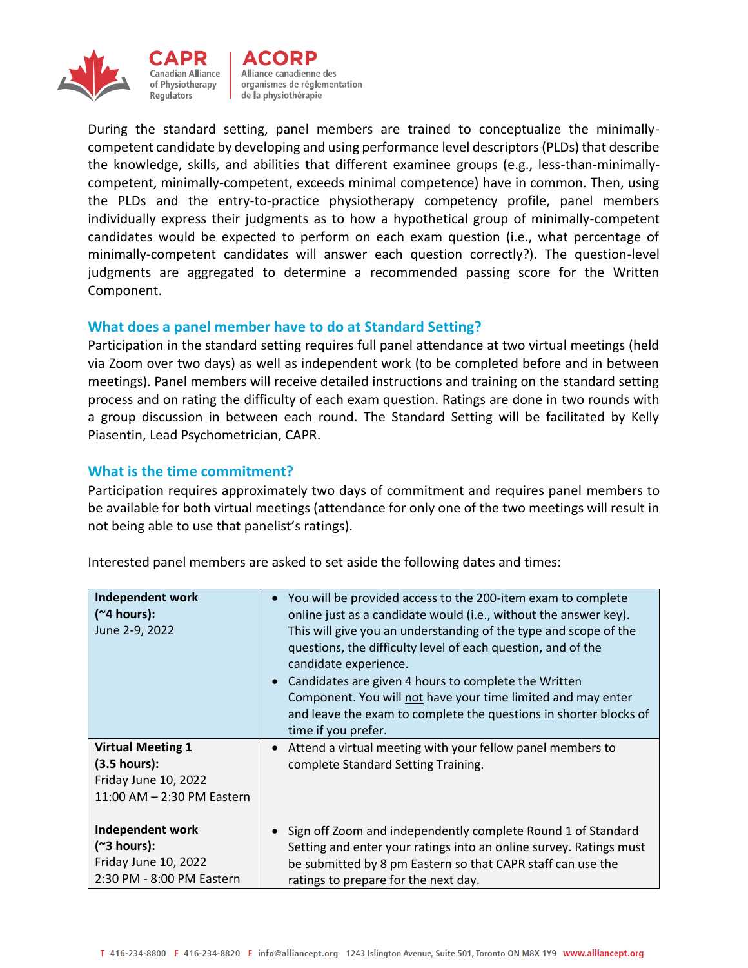

Alliance canadienne des organismes de réglementation de la physiothérapie

During the standard setting, panel members are trained to conceptualize the minimallycompetent candidate by developing and using performance level descriptors (PLDs) that describe the knowledge, skills, and abilities that different examinee groups (e.g., less-than-minimallycompetent, minimally-competent, exceeds minimal competence) have in common. Then, using the PLDs and the entry-to-practice physiotherapy competency profile, panel members individually express their judgments as to how a hypothetical group of minimally-competent candidates would be expected to perform on each exam question (i.e., what percentage of minimally-competent candidates will answer each question correctly?). The question-level judgments are aggregated to determine a recommended passing score for the Written Component.

# **What does a panel member have to do at Standard Setting?**

Participation in the standard setting requires full panel attendance at two virtual meetings (held via Zoom over two days) as well as independent work (to be completed before and in between meetings). Panel members will receive detailed instructions and training on the standard setting process and on rating the difficulty of each exam question. Ratings are done in two rounds with a group discussion in between each round. The Standard Setting will be facilitated by Kelly Piasentin, Lead Psychometrician, CAPR.

### **What is the time commitment?**

Participation requires approximately two days of commitment and requires panel members to be available for both virtual meetings (attendance for only one of the two meetings will result in not being able to use that panelist's ratings).

| <b>Independent work</b><br>$($ ~4 hours):<br>June 2-9, 2022                                    | You will be provided access to the 200-item exam to complete<br>$\bullet$<br>online just as a candidate would (i.e., without the answer key).<br>This will give you an understanding of the type and scope of the<br>questions, the difficulty level of each question, and of the<br>candidate experience.<br>Candidates are given 4 hours to complete the Written<br>Component. You will not have your time limited and may enter<br>and leave the exam to complete the questions in shorter blocks of<br>time if you prefer. |
|------------------------------------------------------------------------------------------------|--------------------------------------------------------------------------------------------------------------------------------------------------------------------------------------------------------------------------------------------------------------------------------------------------------------------------------------------------------------------------------------------------------------------------------------------------------------------------------------------------------------------------------|
| <b>Virtual Meeting 1</b><br>(3.5 hours):<br>Friday June 10, 2022<br>11:00 AM - 2:30 PM Eastern | Attend a virtual meeting with your fellow panel members to<br>$\bullet$<br>complete Standard Setting Training.                                                                                                                                                                                                                                                                                                                                                                                                                 |
| Independent work<br>$(\sim 3$ hours):<br>Friday June 10, 2022<br>2:30 PM - 8:00 PM Eastern     | Sign off Zoom and independently complete Round 1 of Standard<br>Setting and enter your ratings into an online survey. Ratings must<br>be submitted by 8 pm Eastern so that CAPR staff can use the<br>ratings to prepare for the next day.                                                                                                                                                                                                                                                                                      |

Interested panel members are asked to set aside the following dates and times: